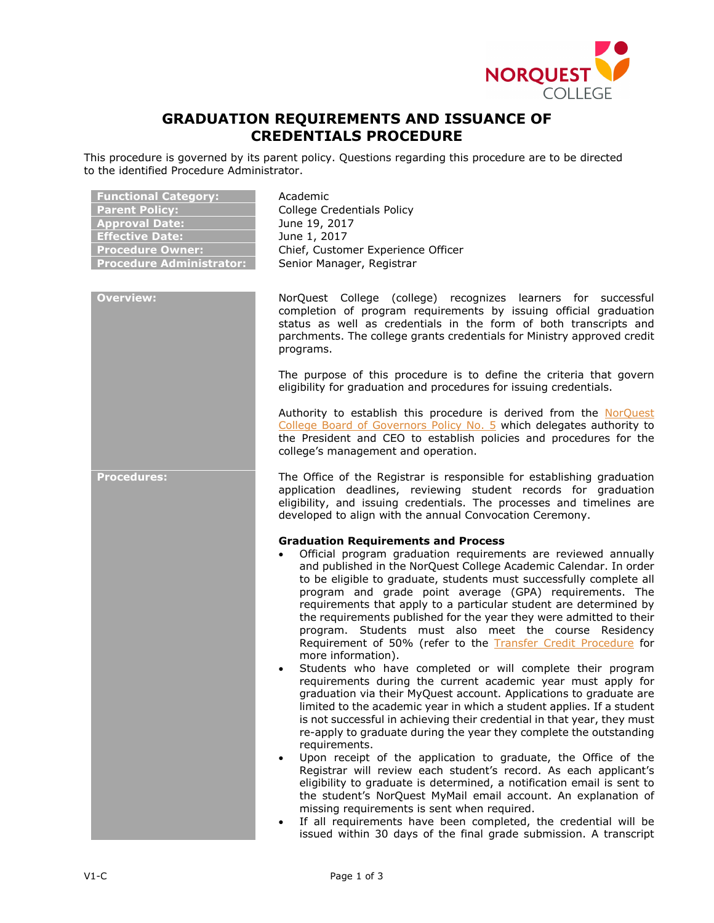

# **GRADUATION REQUIREMENTS AND ISSUANCE OF CREDENTIALS PROCEDURE**

This procedure is governed by its parent policy. Questions regarding this procedure are to be directed to the identified Procedure Administrator.

| <b>Functional Category:</b><br><b>Parent Policy:</b><br><b>Approval Date:</b><br><b>Effective Date:</b><br><b>Procedure Owner:</b><br><b>Procedure Administrator:</b> | Academic<br><b>College Credentials Policy</b><br>June 19, 2017<br>June 1, 2017<br>Chief, Customer Experience Officer<br>Senior Manager, Registrar                                                                                                                                                                                                                                                                                                                                                                                                                                                                                                                                                                                                                                                                                                                                                                                                                                                                                                                                                                                                                                                                                                                                                                                                                                                                                                                                                                                                     |
|-----------------------------------------------------------------------------------------------------------------------------------------------------------------------|-------------------------------------------------------------------------------------------------------------------------------------------------------------------------------------------------------------------------------------------------------------------------------------------------------------------------------------------------------------------------------------------------------------------------------------------------------------------------------------------------------------------------------------------------------------------------------------------------------------------------------------------------------------------------------------------------------------------------------------------------------------------------------------------------------------------------------------------------------------------------------------------------------------------------------------------------------------------------------------------------------------------------------------------------------------------------------------------------------------------------------------------------------------------------------------------------------------------------------------------------------------------------------------------------------------------------------------------------------------------------------------------------------------------------------------------------------------------------------------------------------------------------------------------------------|
| <b>Overview:</b>                                                                                                                                                      | NorQuest College (college) recognizes learners for successful<br>completion of program requirements by issuing official graduation<br>status as well as credentials in the form of both transcripts and<br>parchments. The college grants credentials for Ministry approved credit<br>programs.<br>The purpose of this procedure is to define the criteria that govern<br>eligibility for graduation and procedures for issuing credentials.                                                                                                                                                                                                                                                                                                                                                                                                                                                                                                                                                                                                                                                                                                                                                                                                                                                                                                                                                                                                                                                                                                          |
|                                                                                                                                                                       | Authority to establish this procedure is derived from the NorQuest<br>College Board of Governors Policy No. 5 which delegates authority to<br>the President and CEO to establish policies and procedures for the<br>college's management and operation.                                                                                                                                                                                                                                                                                                                                                                                                                                                                                                                                                                                                                                                                                                                                                                                                                                                                                                                                                                                                                                                                                                                                                                                                                                                                                               |
| <b>Procedures:</b>                                                                                                                                                    | The Office of the Registrar is responsible for establishing graduation<br>application deadlines, reviewing student records for graduation<br>eligibility, and issuing credentials. The processes and timelines are<br>developed to align with the annual Convocation Ceremony.                                                                                                                                                                                                                                                                                                                                                                                                                                                                                                                                                                                                                                                                                                                                                                                                                                                                                                                                                                                                                                                                                                                                                                                                                                                                        |
|                                                                                                                                                                       | <b>Graduation Requirements and Process</b><br>Official program graduation requirements are reviewed annually<br>and published in the NorQuest College Academic Calendar. In order<br>to be eligible to graduate, students must successfully complete all<br>program and grade point average (GPA) requirements. The<br>requirements that apply to a particular student are determined by<br>the requirements published for the year they were admitted to their<br>program. Students must also meet the course Residency<br>Requirement of 50% (refer to the Transfer Credit Procedure for<br>more information).<br>Students who have completed or will complete their program<br>requirements during the current academic year must apply for<br>graduation via their MyQuest account. Applications to graduate are<br>limited to the academic year in which a student applies. If a student<br>is not successful in achieving their credential in that year, they must<br>re-apply to graduate during the year they complete the outstanding<br>requirements.<br>Upon receipt of the application to graduate, the Office of the<br>$\bullet$<br>Registrar will review each student's record. As each applicant's<br>eligibility to graduate is determined, a notification email is sent to<br>the student's NorQuest MyMail email account. An explanation of<br>missing requirements is sent when required.<br>If all requirements have been completed, the credential will be<br>issued within 30 days of the final grade submission. A transcript |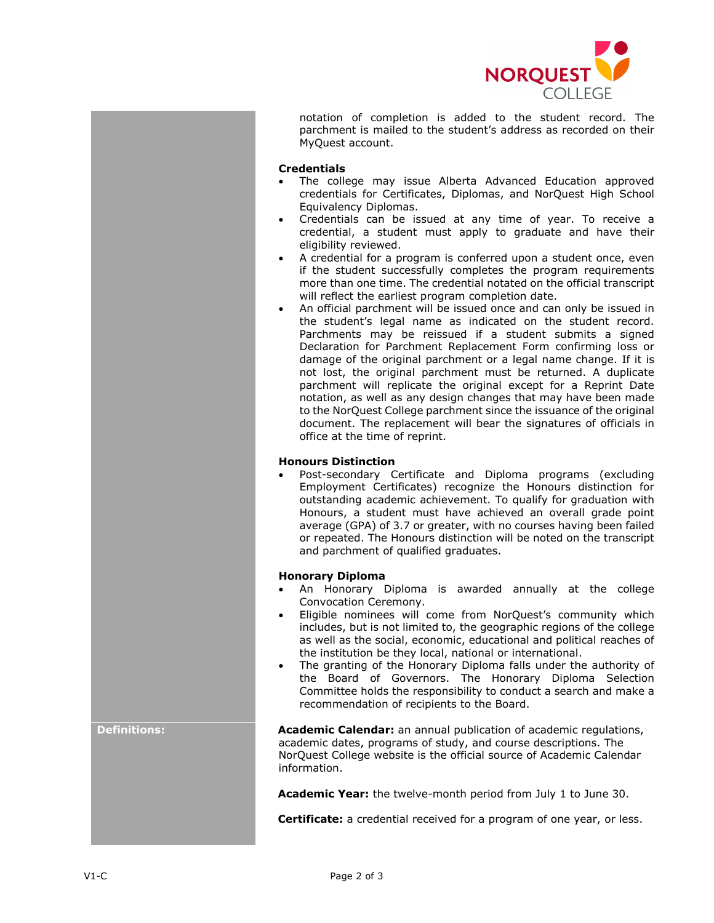

notation of completion is added to the student record. The parchment is mailed to the student's address as recorded on their MyQuest account.

## **Credentials**

- The college may issue Alberta Advanced Education approved credentials for Certificates, Diplomas, and NorQuest High School Equivalency Diplomas.
- Credentials can be issued at any time of year. To receive a credential, a student must apply to graduate and have their eligibility reviewed.
- A credential for a program is conferred upon a student once, even if the student successfully completes the program requirements more than one time. The credential notated on the official transcript will reflect the earliest program completion date.
- An official parchment will be issued once and can only be issued in the student's legal name as indicated on the student record. Parchments may be reissued if a student submits a signed Declaration for Parchment Replacement Form confirming loss or damage of the original parchment or a legal name change. If it is not lost, the original parchment must be returned. A duplicate parchment will replicate the original except for a Reprint Date notation, as well as any design changes that may have been made to the NorQuest College parchment since the issuance of the original document. The replacement will bear the signatures of officials in office at the time of reprint.

## **Honours Distinction**

• Post-secondary Certificate and Diploma programs (excluding Employment Certificates) recognize the Honours distinction for outstanding academic achievement. To qualify for graduation with Honours, a student must have achieved an overall grade point average (GPA) of 3.7 or greater, with no courses having been failed or repeated. The Honours distinction will be noted on the transcript and parchment of qualified graduates.

#### **Honorary Diploma**

- An Honorary Diploma is awarded annually at the college Convocation Ceremony.
- Eligible nominees will come from NorQuest's community which includes, but is not limited to, the geographic regions of the college as well as the social, economic, educational and political reaches of the institution be they local, national or international.
- The granting of the Honorary Diploma falls under the authority of the Board of Governors. The Honorary Diploma Selection Committee holds the responsibility to conduct a search and make a recommendation of recipients to the Board.

**Definitions: Academic Calendar:** an annual publication of academic regulations, academic dates, programs of study, and course descriptions. The NorQuest College website is the official source of Academic Calendar information.

**Academic Year:** the twelve-month period from July 1 to June 30.

**Certificate:** a credential received for a program of one year, or less.